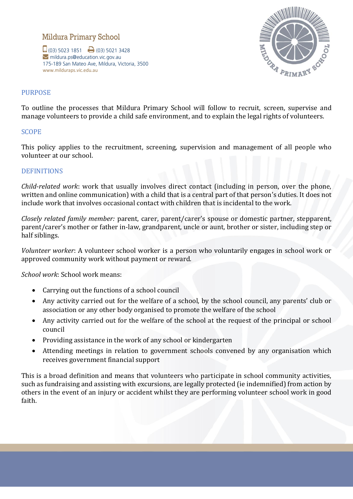# Mildura Primary School

 $\Box$  (03) 5023 1851  $\Box$  (03) 5021 3428 mildura.ps@education.vic.gov.au 175-189 San Mateo Ave, Mildura, Victoria, 3500 www.milduraps.vic.edu.au



## PURPOSE

To outline the processes that Mildura Primary School will follow to recruit, screen, supervise and manage volunteers to provide a child safe environment, and to explain the legal rights of volunteers.

### SCOPE

This policy applies to the recruitment, screening, supervision and management of all people who volunteer at our school.

### **DEFINITIONS**

*Child-related work*: work that usually involves direct contact (including in person, over the phone, written and online communication) with a child that is a central part of that person's duties. It does not include work that involves occasional contact with children that is incidental to the work.

*Closely related family member:* parent, carer, parent/carer's spouse or domestic partner, stepparent, parent/carer's mother or father in-law, grandparent, uncle or aunt, brother or sister, including step or half siblings.

*Volunteer worker*: A volunteer school worker is a person who voluntarily engages in school work or approved community work without payment or reward.

*School work*: School work means:

- Carrying out the functions of a school council
- Any activity carried out for the welfare of a school, by the school council, any parents' club or association or any other body organised to promote the welfare of the school
- Any activity carried out for the welfare of the school at the request of the principal or school council
- Providing assistance in the work of any school or kindergarten
- Attending meetings in relation to government schools convened by any organisation which receives government financial support

This is a broad definition and means that volunteers who participate in school community activities, such as fundraising and assisting with excursions, are legally protected (ie indemnified) from action by others in the event of an injury or accident whilst they are performing volunteer school work in good faith.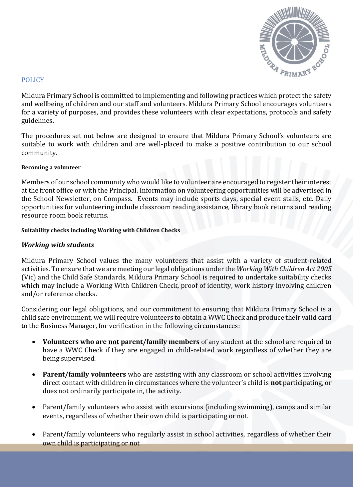

### POLICY

Mildura Primary School is committed to implementing and following practices which protect the safety and wellbeing of children and our staff and volunteers. Mildura Primary School encourages volunteers for a variety of purposes, and provides these volunteers with clear expectations, protocols and safety guidelines.

The procedures set out below are designed to ensure that Mildura Primary School's volunteers are suitable to work with children and are well-placed to make a positive contribution to our school community.

#### **Becoming a volunteer**

Members of our school community who would like to volunteer are encouraged to register their interest at the front office or with the Principal. Information on volunteering opportunities will be advertised in the School Newsletter, on Compass. Events may include sports days, special event stalls, etc. Daily opportunities for volunteering include classroom reading assistance, library book returns and reading resource room book returns.

### **Suitability checks including Working with Children Checks**

### *Working with students*

Mildura Primary School values the many volunteers that assist with a variety of student-related activities. To ensure that we are meeting our legal obligations under the *Working With Children Act 2005*  (Vic) and the Child Safe Standards, Mildura Primary School is required to undertake suitability checks which may include a Working With Children Check, proof of identity, work history involving children and/or reference checks.

Considering our legal obligations, and our commitment to ensuring that Mildura Primary School is a child safe environment, we will require volunteers to obtain a WWC Check and produce their valid card to the Business Manager, for verification in the following circumstances:

- **Volunteers who are not parent/family members** of any student at the school are required to have a WWC Check if they are engaged in child-related work regardless of whether they are being supervised.
- **Parent/family volunteers** who are assisting with any classroom or school activities involving direct contact with children in circumstances where the volunteer's child is **not** participating, or does not ordinarily participate in, the activity.
- Parent/family volunteers who assist with excursions (including swimming), camps and similar events, regardless of whether their own child is participating or not.
- Parent/family volunteers who regularly assist in school activities, regardless of whether their own child is participating or not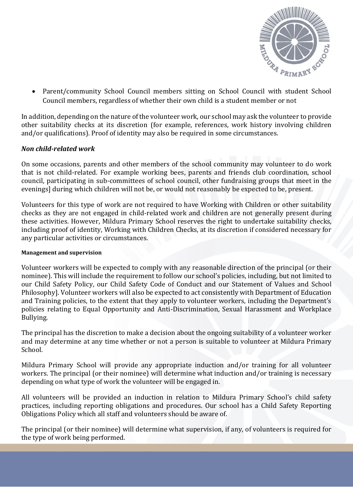

• Parent/community School Council members sitting on School Council with student School Council members, regardless of whether their own child is a student member or not

In addition, depending on the nature of the volunteer work, our school may ask the volunteer to provide other suitability checks at its discretion (for example, references, work history involving children and/or qualifications). Proof of identity may also be required in some circumstances.

# *Non child-related work*

On some occasions, parents and other members of the school community may volunteer to do work that is not child-related. For example working bees, parents and friends club coordination, school council, participating in sub-committees of school council, other fundraising groups that meet in the evenings] during which children will not be, or would not reasonably be expected to be, present.

Volunteers for this type of work are not required to have Working with Children or other suitability checks as they are not engaged in child-related work and children are not generally present during these activities. However, Mildura Primary School reserves the right to undertake suitability checks, including proof of identity, Working with Children Checks, at its discretion if considered necessary for any particular activities or circumstances.

#### **Management and supervision**

Volunteer workers will be expected to comply with any reasonable direction of the principal (or their nominee). This will include the requirement to follow our school's policies, including, but not limited to our Child Safety Policy, our Child Safety Code of Conduct and our Statement of Values and School Philosophy]. Volunteer workers will also be expected to act consistently with Department of Education and Training policies, to the extent that they apply to volunteer workers, including the Department's policies relating to Equal Opportunity and Anti-Discrimination, Sexual Harassment and Workplace Bullying.

The principal has the discretion to make a decision about the ongoing suitability of a volunteer worker and may determine at any time whether or not a person is suitable to volunteer at Mildura Primary School.

Mildura Primary School will provide any appropriate induction and/or training for all volunteer workers. The principal (or their nominee) will determine what induction and/or training is necessary depending on what type of work the volunteer will be engaged in.

All volunteers will be provided an induction in relation to Mildura Primary School's child safety practices, including reporting obligations and procedures. Our school has a Child Safety Reporting Obligations Policy which all staff and volunteers should be aware of.

The principal (or their nominee) will determine what supervision, if any, of volunteers is required for the type of work being performed.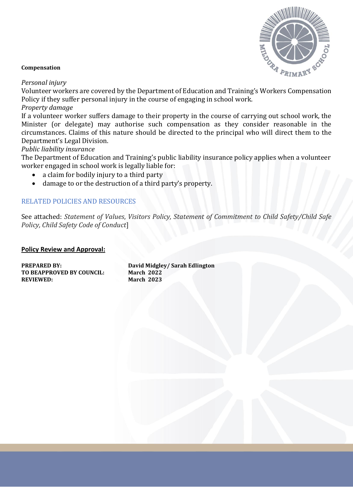

#### **Compensation**

*Personal injury*

Volunteer workers are covered by the Department of Education and Training's Workers Compensation Policy if they suffer personal injury in the course of engaging in school work.

### *Property damage*

If a volunteer worker suffers damage to their property in the course of carrying out school work, the Minister (or delegate) may authorise such compensation as they consider reasonable in the circumstances. Claims of this nature should be directed to the principal who will direct them to the Department's Legal Division.

### *Public liability insurance*

The Department of Education and Training's public liability insurance policy applies when a volunteer worker engaged in school work is legally liable for:

- a claim for bodily injury to a third party
- damage to or the destruction of a third party's property.

### RELATED POLICIES AND RESOURCES

See attached: *Statement of Values*, *Visitors Policy, Statement of Commitment to Child Safety/Child Safe Policy, Child Safety Code of Conduct*]

#### **Policy Review and Approval:**

| <b>PREPARED BY:</b><br>TO BEAPPROVED BY COUNCIL: | David Midgley/ Sarah Edlington<br><b>March 2022</b> |
|--------------------------------------------------|-----------------------------------------------------|
| <b>REVIEWED:</b>                                 | <b>March 2023</b>                                   |
|                                                  |                                                     |